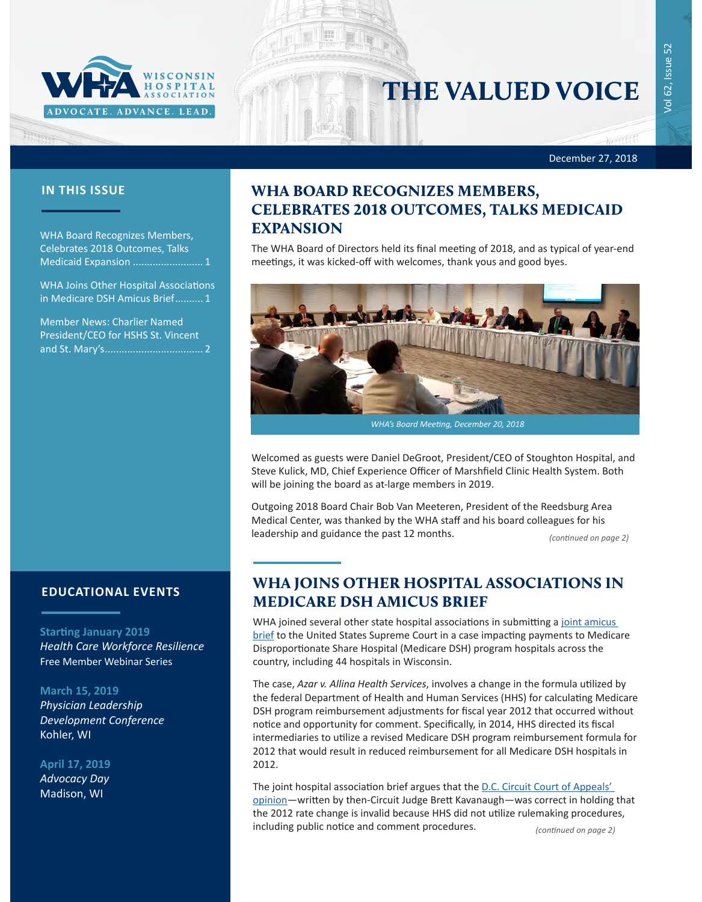

# THE VALUED VOICE

Vol 62, Issue 52

/ol 62, Issue

 $52$ 

December 27, 2018

Francisco

WHA Board Recognizes Members, Celebrates 2018 Outcomes, Talks Medicaid Expansion ......................... 1

WHA Joins Other Hospital Associations in Medicare DSH Amicus Brief.......... 1

[Member News: Charlier Named](#page-1-0)  [President/CEO for HSHS St. Vincent](#page-1-0)  [and St. Mary's...................................](#page-1-0) 2

### **EDUCATIONAL EVENTS**

#### **Starting January 2019**

*Health Care Workforce Resilience* Free Member Webinar Series

#### **March 15, 2019**

*[Physician Leadership](http://www.cvent.com/events/19l-pldc-03-15-16/event-summary-cce6c95196974bcc87660b15b6e87c43.aspx)  [Development Conference](http://www.cvent.com/events/19l-pldc-03-15-16/event-summary-cce6c95196974bcc87660b15b6e87c43.aspx)* Kohler, WI

#### **April 17, 2019**

*Advocacy Day* Madison, WI

# **IN THIS ISSUE WHA BOARD RECOGNIZES MEMBERS,** CELEBRATES 2018 OUTCOMES, TALKS MEDICAID EXPANSION

The WHA Board of Directors held its final meeting of 2018, and as typical of year-end meetings, it was kicked-off with welcomes, thank yous and good byes.



Welcomed as guests were Daniel DeGroot, President/CEO of Stoughton Hospital, and Steve Kulick, MD, Chief Experience Officer of Marshfield Clinic Health System. Both will be joining the board as at-large members in 2019.

Outgoing 2018 Board Chair Bob Van Meeteren, President of the Reedsburg Area Medical Center, was thanked by the WHA staff and his board colleagues for his leadership and guidance the past 12 months.

*(continued on page 2)*

# WHA JOINS OTHER HOSPITAL ASSOCIATIONS IN MEDICARE DSH AMICUS BRIEF

WHA joined several other state hospital associations in submitting a joint amicus [brief](https://www.wha.org//WisconsinHospitalAssociation/media/WHACommon/PDFs/2019amicusDSH-14HospitalAssociations17-1484bsac.pdf) to the United States Supreme Court in a case impacting payments to Medicare Disproportionate Share Hospital (Medicare DSH) program hospitals across the country, including 44 hospitals in Wisconsin.

The case, *Azar v. Allina Health Services*, involves a change in the formula utilized by the federal Department of Health and Human Services (HHS) for calculating Medicare DSH program reimbursement adjustments for fiscal year 2012 that occurred without notice and opportunity for comment. Specifically, in 2014, HHS directed its fiscal intermediaries to utilize a revised Medicare DSH program reimbursement formula for 2012 that would result in reduced reimbursement for all Medicare DSH hospitals in 2012.

The joint hospital association brief argues that the D.C. Circuit Court of Appeals' [opinion—](http://www.scotusblog.com/wp-content/uploads/2018/05/17-1484-opinion-below.pdf)written by then-Circuit Judge Brett Kavanaugh—was correct in holding that the 2012 rate change is invalid because HHS did not utilize rulemaking procedures, including public notice and comment procedures.

*(continued on page 2)*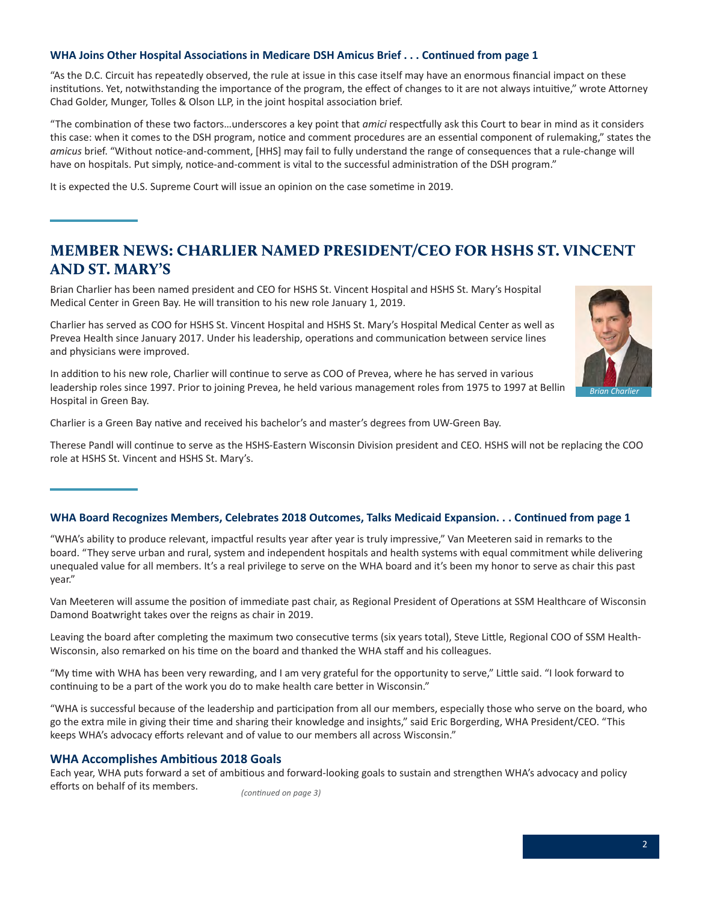#### <span id="page-1-0"></span>**WHA Joins Other Hospital Associations in Medicare DSH Amicus Brief . . . Continued from page 1**

"As the D.C. Circuit has repeatedly observed, the rule at issue in this case itself may have an enormous financial impact on these institutions. Yet, notwithstanding the importance of the program, the effect of changes to it are not always intuitive," wrote Attorney Chad Golder, Munger, Tolles & Olson LLP, in the joint hospital association brief.

"The combination of these two factors…underscores a key point that *amici* respectfully ask this Court to bear in mind as it considers this case: when it comes to the DSH program, notice and comment procedures are an essential component of rulemaking," states the *amicus* brief. "Without notice-and-comment, [HHS] may fail to fully understand the range of consequences that a rule-change will have on hospitals. Put simply, notice-and-comment is vital to the successful administration of the DSH program."

It is expected the U.S. Supreme Court will issue an opinion on the case sometime in 2019.

# MEMBER NEWS: CHARLIER NAMED PRESIDENT/CEO FOR HSHS ST. VINCENT AND ST. MARY'S

Brian Charlier has been named president and CEO for HSHS St. Vincent Hospital and HSHS St. Mary's Hospital Medical Center in Green Bay. He will transition to his new role January 1, 2019.

Charlier has served as COO for HSHS St. Vincent Hospital and HSHS St. Mary's Hospital Medical Center as well as Prevea Health since January 2017. Under his leadership, operations and communication between service lines and physicians were improved.

In addition to his new role, Charlier will continue to serve as COO of Prevea, where he has served in various leadership roles since 1997. Prior to joining Prevea, he held various management roles from 1975 to 1997 at Bellin Hospital in Green Bay.

Charlier is a Green Bay native and received his bachelor's and master's degrees from UW-Green Bay.

Therese Pandl will continue to serve as the HSHS-Eastern Wisconsin Division president and CEO. HSHS will not be replacing the COO role at HSHS St. Vincent and HSHS St. Mary's.

#### **WHA Board Recognizes Members, Celebrates 2018 Outcomes, Talks Medicaid Expansion. . . Continued from page 1**

"WHA's ability to produce relevant, impactful results year after year is truly impressive," Van Meeteren said in remarks to the board. "They serve urban and rural, system and independent hospitals and health systems with equal commitment while delivering unequaled value for all members. It's a real privilege to serve on the WHA board and it's been my honor to serve as chair this past year."

Van Meeteren will assume the position of immediate past chair, as Regional President of Operations at SSM Healthcare of Wisconsin Damond Boatwright takes over the reigns as chair in 2019.

Leaving the board after completing the maximum two consecutive terms (six years total), Steve Little, Regional COO of SSM Health-Wisconsin, also remarked on his time on the board and thanked the WHA staff and his colleagues.

"My time with WHA has been very rewarding, and I am very grateful for the opportunity to serve," Little said. "I look forward to continuing to be a part of the work you do to make health care better in Wisconsin."

"WHA is successful because of the leadership and participation from all our members, especially those who serve on the board, who go the extra mile in giving their time and sharing their knowledge and insights," said Eric Borgerding, WHA President/CEO. "This keeps WHA's advocacy efforts relevant and of value to our members all across Wisconsin."

#### **WHA Accomplishes Ambitious 2018 Goals**

Each year, WHA puts forward a set of ambitious and forward-looking goals to sustain and strengthen WHA's advocacy and policy efforts on behalf of its members.

*(continued on page 3)*



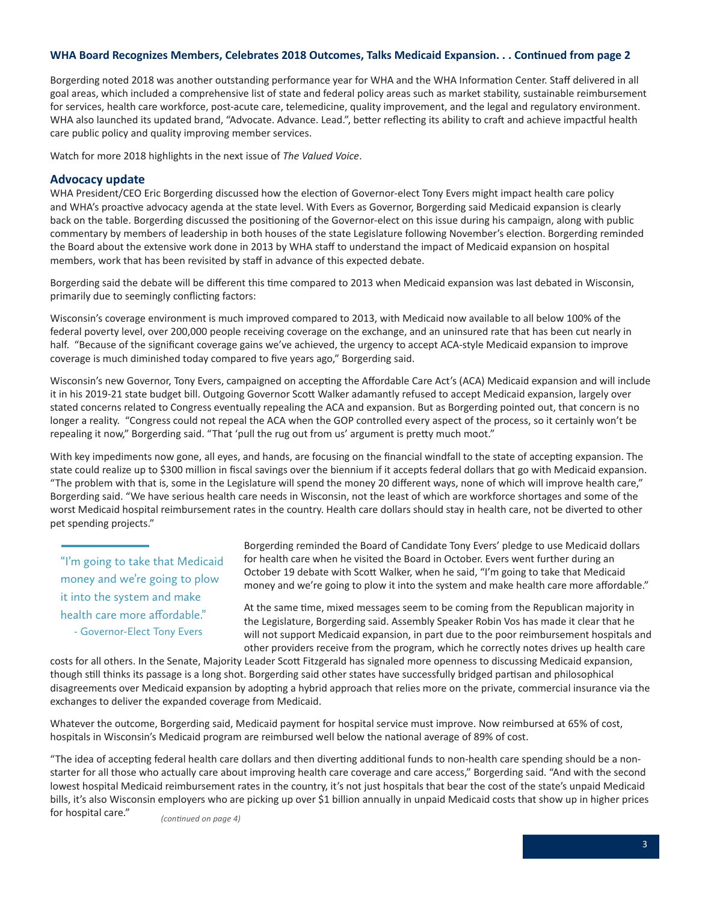#### **WHA Board Recognizes Members, Celebrates 2018 Outcomes, Talks Medicaid Expansion. . . Continued from page 2**

Borgerding noted 2018 was another outstanding performance year for WHA and the WHA Information Center. Staff delivered in all goal areas, which included a comprehensive list of state and federal policy areas such as market stability, sustainable reimbursement for services, health care workforce, post-acute care, telemedicine, quality improvement, and the legal and regulatory environment. WHA also launched its updated brand, "Advocate. Advance. Lead.", better reflecting its ability to craft and achieve impactful health care public policy and quality improving member services.

Watch for more 2018 highlights in the next issue of *The Valued Voice*.

#### **Advocacy update**

WHA President/CEO Eric Borgerding discussed how the election of Governor-elect Tony Evers might impact health care policy and WHA's proactive advocacy agenda at the state level. With Evers as Governor, Borgerding said Medicaid expansion is clearly back on the table. Borgerding discussed the positioning of the Governor-elect on this issue during his campaign, along with public commentary by members of leadership in both houses of the state Legislature following November's election. Borgerding reminded the Board about the extensive work done in 2013 by WHA staff to understand the impact of Medicaid expansion on hospital members, work that has been revisited by staff in advance of this expected debate.

Borgerding said the debate will be different this time compared to 2013 when Medicaid expansion was last debated in Wisconsin, primarily due to seemingly conflicting factors:

Wisconsin's coverage environment is much improved compared to 2013, with Medicaid now available to all below 100% of the federal poverty level, over 200,000 people receiving coverage on the exchange, and an uninsured rate that has been cut nearly in half. "Because of the significant coverage gains we've achieved, the urgency to accept ACA-style Medicaid expansion to improve coverage is much diminished today compared to five years ago," Borgerding said.

Wisconsin's new Governor, Tony Evers, campaigned on accepting the Affordable Care Act's (ACA) Medicaid expansion and will include it in his 2019-21 state budget bill. Outgoing Governor Scott Walker adamantly refused to accept Medicaid expansion, largely over stated concerns related to Congress eventually repealing the ACA and expansion. But as Borgerding pointed out, that concern is no longer a reality. "Congress could not repeal the ACA when the GOP controlled every aspect of the process, so it certainly won't be repealing it now," Borgerding said. "That 'pull the rug out from us' argument is pretty much moot."

With key impediments now gone, all eyes, and hands, are focusing on the financial windfall to the state of accepting expansion. The state could realize up to \$300 million in fiscal savings over the biennium if it accepts federal dollars that go with Medicaid expansion. "The problem with that is, some in the Legislature will spend the money 20 different ways, none of which will improve health care," Borgerding said. "We have serious health care needs in Wisconsin, not the least of which are workforce shortages and some of the worst Medicaid hospital reimbursement rates in the country. Health care dollars should stay in health care, not be diverted to other pet spending projects."

"I'm going to take that Medicaid money and we're going to plow it into the system and make health care more affordable." - Governor-Elect Tony Evers

Borgerding reminded the Board of Candidate Tony Evers' pledge to use Medicaid dollars for health care when he visited the Board in October. Evers went further during an October 19 debate with Scott Walker, when he said, "I'm going to take that Medicaid money and we're going to plow it into the system and make health care more affordable."

At the same time, mixed messages seem to be coming from the Republican majority in the Legislature, Borgerding said. Assembly Speaker Robin Vos has made it clear that he will not support Medicaid expansion, in part due to the poor reimbursement hospitals and other providers receive from the program, which he correctly notes drives up health care

costs for all others. In the Senate, Majority Leader Scott Fitzgerald has signaled more openness to discussing Medicaid expansion, though still thinks its passage is a long shot. Borgerding said other states have successfully bridged partisan and philosophical disagreements over Medicaid expansion by adopting a hybrid approach that relies more on the private, commercial insurance via the exchanges to deliver the expanded coverage from Medicaid.

Whatever the outcome, Borgerding said, Medicaid payment for hospital service must improve. Now reimbursed at 65% of cost, hospitals in Wisconsin's Medicaid program are reimbursed well below the national average of 89% of cost.

"The idea of accepting federal health care dollars and then diverting additional funds to non-health care spending should be a nonstarter for all those who actually care about improving health care coverage and care access," Borgerding said. "And with the second lowest hospital Medicaid reimbursement rates in the country, it's not just hospitals that bear the cost of the state's unpaid Medicaid bills, it's also Wisconsin employers who are picking up over \$1 billion annually in unpaid Medicaid costs that show up in higher prices for hospital care."

*(continued on page 4)*